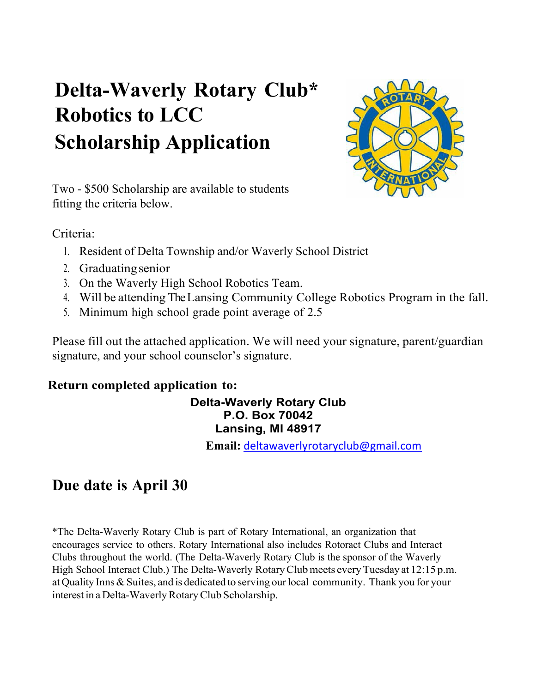# **Delta-Waverly Rotary Club\* Robotics to LCC Scholarship Application**



Two - \$500 Scholarship are available to students fitting the criteria below.

Criteria:

- 1. Resident of Delta Township and/or Waverly School District
- 2. Graduatingsenior
- 3. On the Waverly High School Robotics Team.
- 4. Will be attending The Lansing Community College Robotics Program in the fall.
- 5. Minimum high school grade point average of 2.5

Please fill out the attached application. We will need your signature, parent/guardian signature, and your school counselor's signature.

### **Return completed application to:**

### **Delta-Waverly Rotary Club P.O. Box 70042 Lansing, MI 48917**

**Email:** deltawaverlyrotaryclub@gmail.com

## **Due date is April 30**

\*The Delta-Waverly Rotary Club is part of Rotary International, an organization that encourages service to others. Rotary International also includes Rotoract Clubs and Interact Clubs throughout the world. (The Delta-Waverly Rotary Club is the sponsor of the Waverly High School Interact Club.) The Delta-Waverly RotaryClubmeets everyTuesday at 12:15 p.m. atQuality Inns&Suites, and is dedicated to serving ourlocal community. Thank you for your interest in a Delta-Waverly Rotary Club Scholarship.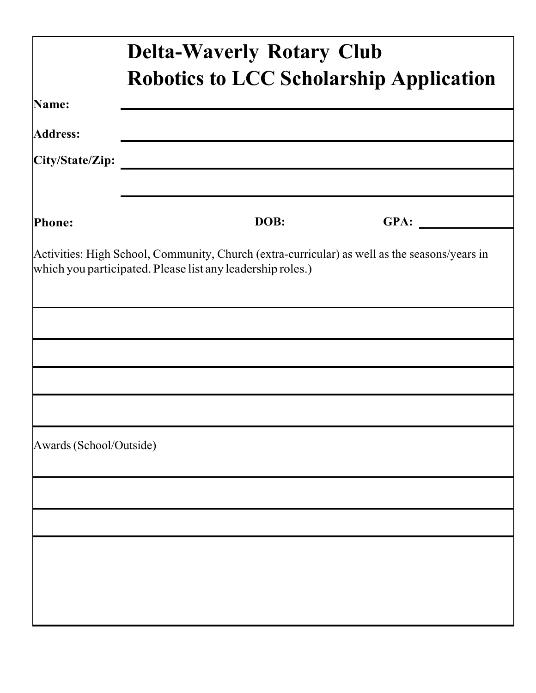|                         | <b>Delta-Waverly Rotary Club</b><br><b>Robotics to LCC Scholarship Application</b> |      |                                                                                               |
|-------------------------|------------------------------------------------------------------------------------|------|-----------------------------------------------------------------------------------------------|
|                         |                                                                                    |      |                                                                                               |
| Name:                   |                                                                                    |      |                                                                                               |
| <b>Address:</b>         |                                                                                    |      |                                                                                               |
|                         |                                                                                    |      |                                                                                               |
|                         |                                                                                    |      |                                                                                               |
| <b>Phone:</b>           |                                                                                    | DOB: | GPA:                                                                                          |
|                         | which you participated. Please list any leadership roles.)                         |      | Activities: High School, Community, Church (extra-curricular) as well as the seasons/years in |
|                         |                                                                                    |      |                                                                                               |
|                         |                                                                                    |      |                                                                                               |
|                         |                                                                                    |      |                                                                                               |
|                         |                                                                                    |      |                                                                                               |
| Awards (School/Outside) |                                                                                    |      |                                                                                               |
|                         |                                                                                    |      |                                                                                               |
|                         |                                                                                    |      |                                                                                               |
|                         |                                                                                    |      |                                                                                               |
|                         |                                                                                    |      |                                                                                               |
|                         |                                                                                    |      |                                                                                               |
|                         |                                                                                    |      |                                                                                               |